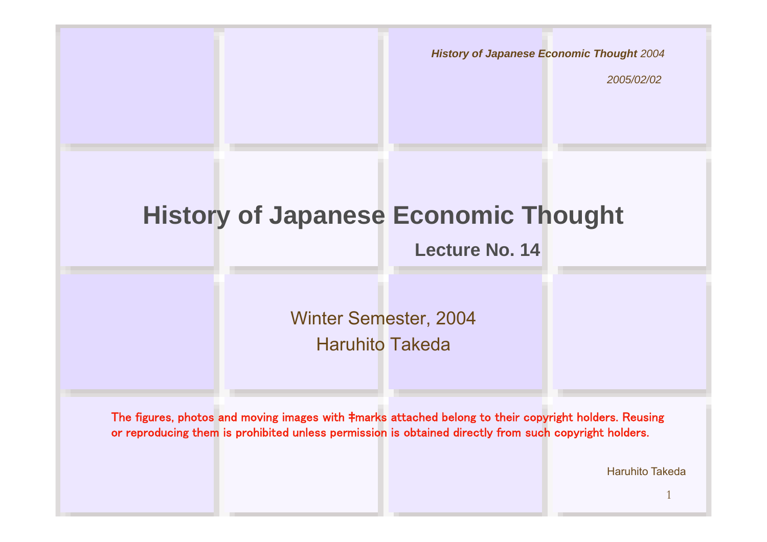*History of Japanese Economic Thought 2004*

*2005/02/02*

#### **History of Japanese Economic Thought**

**Lecture No. 14**

Winter Semester, 2004 Haruhito Takeda

The figures, photos and moving images with ‡marks attached belong to their copyright holders. Reusing or reproducing them is prohibited unless permission is obtained directly from such copyright holders.

Haruhito Takeda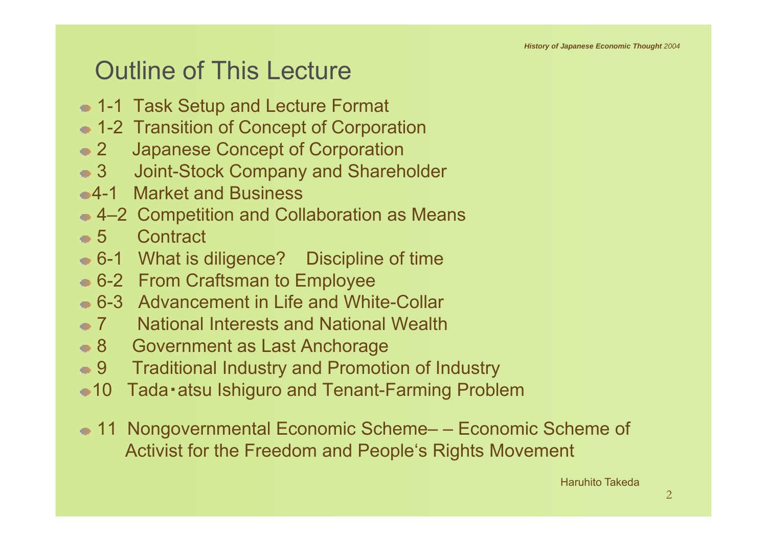#### Outline of This Lecture

- 1-1 Task Setup and Lecture Format
- 1-2 Transition of Concept of Corporation
- 2 Japanese Concept of Corporation
- 3 Joint-Stock Company and Shareholder
- 4-1 Market and Business
- **4–2 Competition and Collaboration as Means**
- 5 Contract
- 6-1 What is diligence? Discipline of time
- 6-2 From Craftsman to Employee
- 6-3 Advancement in Life and White-Collar
- 7 National Interests and National Wealth
- 8 Government as Last Anchorage
- 9 Traditional Industry and Promotion of Industry
- 10 Tada・atsu Ishiguro and Tenant-Farming Problem
- 11 Nongovernmental Economic Scheme– Economic Scheme of Activist for the Freedom and People's Rights Movement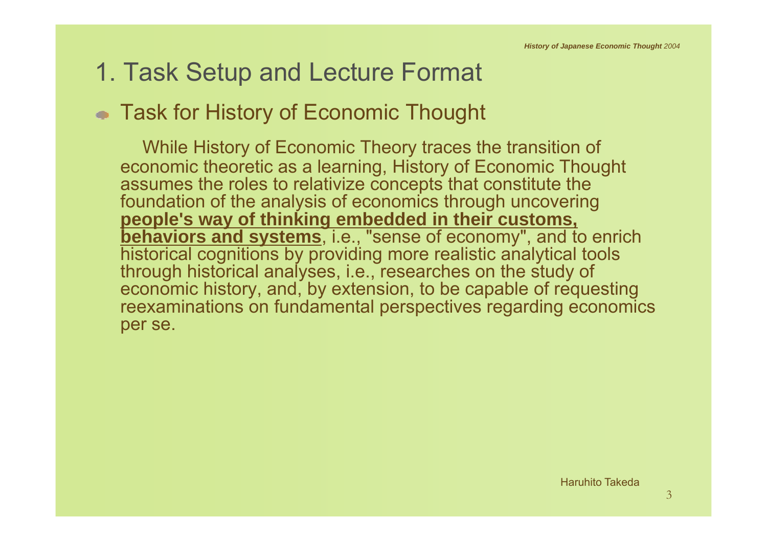## 1. Task Setup and Lecture Format

#### • Task for History of Economic Thought

While History of Economic Theory traces the transition of economic theoretic as a learning, History of Economic Thought assumes the roles to relativize concepts that constitute the foundation of the analysis of economics through uncovering **people's way of thinking embedded in their customs, behaviors and systems**, i.e., "sense of economy", and to enrich historical cognitions by providing more realistic analytical tools through historical analyses, i.e., researches on the study of economic history, and, by extension, to be capable of requesting reexaminations on fundamental perspectives regarding economics per se.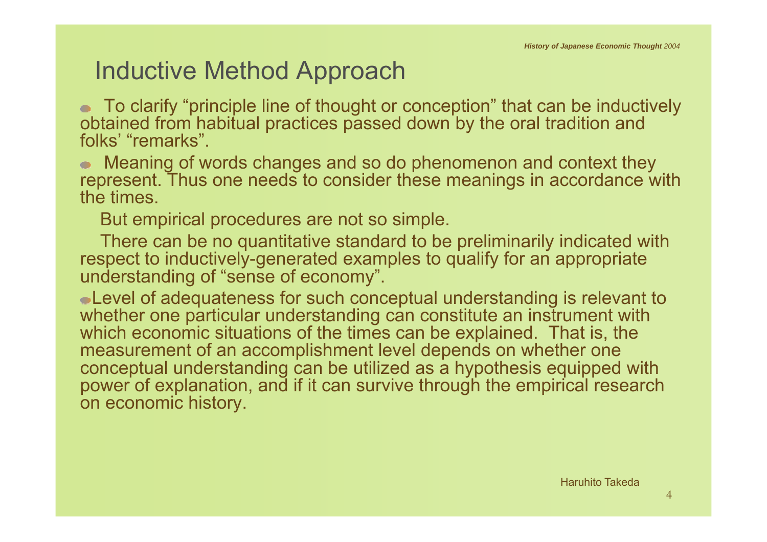#### Inductive Method Approach

To clarify "principle line of thought or conception" that can be inductively obtained from habitual practices passed down by the oral tradition and folks' "remarks".

Meaning of words changes and so do phenomenon and context they represent. Thus one needs to consider these meanings in accordance with the times.

But empirical procedures are not so simple.

There can be no quantitative standard to be preliminarily indicated with respect to inductively-generated examples to qualify for an appropriate understanding of "sense of economy".

Level of adequateness for such conceptual understanding is relevant to whether one particular understanding can constitute an instrument with which economic situations of the times can be explained. That is, the measurement of an accomplishment level depends on whether one conceptual understanding can be utilized as a hypothesis equipped with power of explanation, and if it can survive through the empirical research on economic history.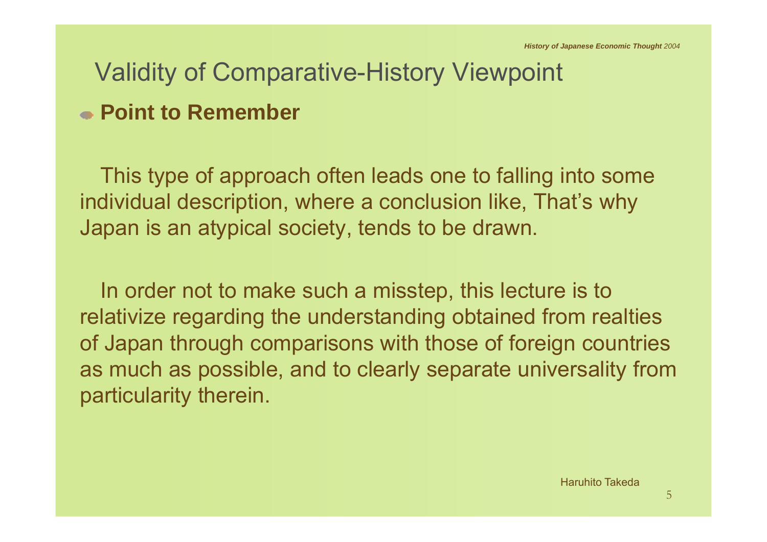## Validity of Comparative-History Viewpoint

#### **Point to Remember**

This type of approach often leads one to falling into some individual description, where a conclusion like, That's why Japan is an atypical society, tends to be drawn.

In order not to make such a misstep, this lecture is to relativize regarding the understanding obtained from realties of Japan through comparisons with those of foreign countries as much as possible, and to clearly separate universality from particularity therein.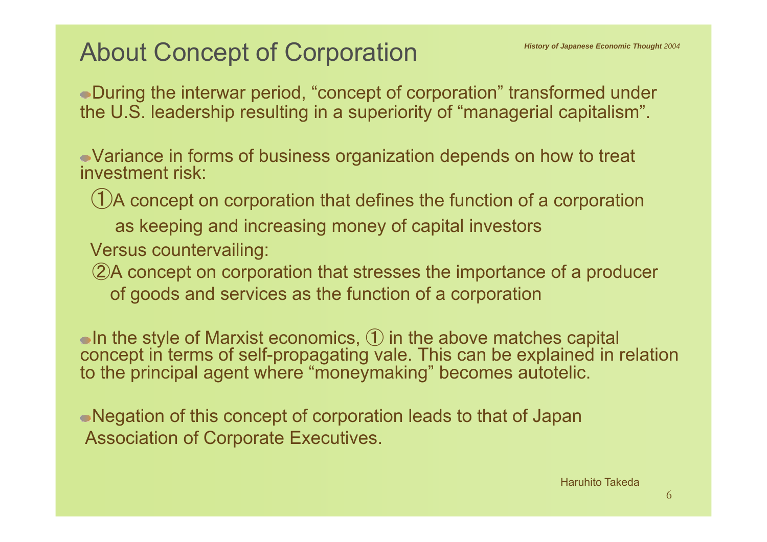## About Concept of Corporation

During the interwar period, "concept of corporation" transformed under the U.S. leadership resulting in a superiority of "managerial capitalism".

Variance in forms of business organization depends on how to treat investment risk:

①A concept on corporation that defines the function of a corporation

as keeping and increasing money of capital investors

Versus countervailing:

②A concept on corporation that stresses the importance of a producer of goods and services as the function of a corporation

In the style of Marxist economics,  $\mathbb D$  in the above matches capital concept in terms of self-propagating vale. This can be explained in relation to the principal agent where "moneymaking" becomes autotelic.

Negation of this concept of corporation leads to that of Japan Association of Corporate Executives.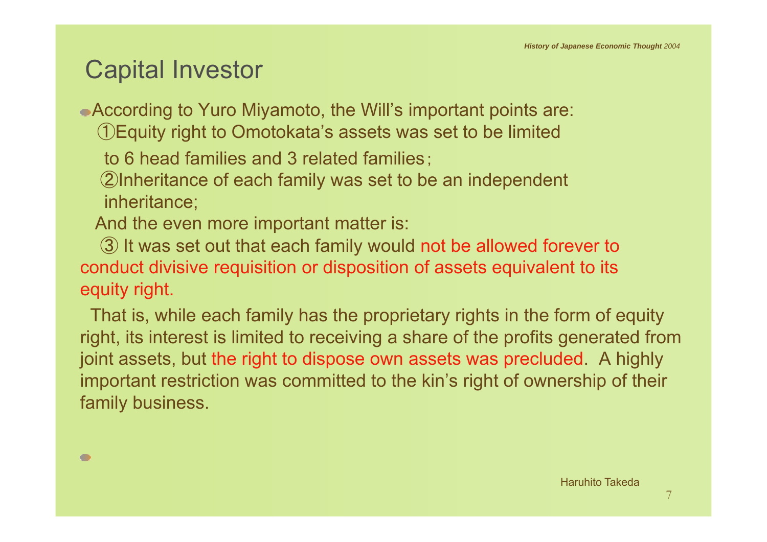#### Capital Investor

According to Yuro Miyamoto, the Will's important points are: ①Equity right to Omotokata's assets was set to be limited

to 6 head families and 3 related families;

②Inheritance of each family was set to be an independent inheritance;

And the even more important matter is:

③ It was set out that each family would not be allowed forever to conduct divisive requisition or disposition of assets equivalent to its equity right.

That is, while each family has the proprietary rights in the form of equity right, its interest is limited to receiving a share of the profits generated from joint assets, but the right to dispose own assets was precluded. A highly important restriction was committed to the kin's right of ownership of their family business.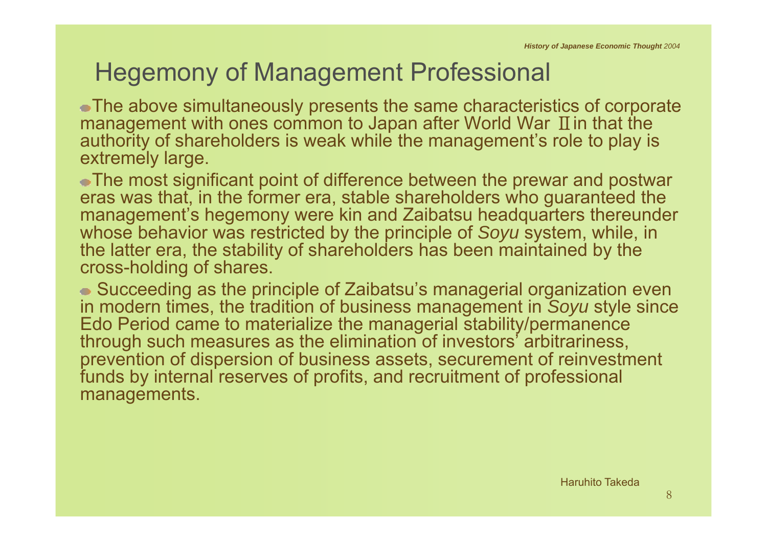# Hegemony of Management Professional

The above simultaneously presents the same characteristics of corporate management with ones common to Japan after World War  $\, {\rm I\!I}$  in that the authority of shareholders is weak while the management's role to play is extremely large.

The most significant point of difference between the prewar and postwar eras was that, in the former era, stable shareholders who guaranteed the management's hegemony were kin and Zaibatsu headquarters thereunder whose behavior was restricted by the principle of *Soyu* system, while, in the latter era, the stability of shareholders has been maintained by the cross-holding of shares.

Succeeding as the principle of Zaibatsu's managerial organization even in modern times, the tradition of business management in *Soyu* style since Edo Period came to materialize the managerial stability/permanence through such measures as the elimination of investors' arbitrariness, prevention of dispersion of business assets, securement of reinvestment funds by internal reserves of profits, and recruitment of professional managements.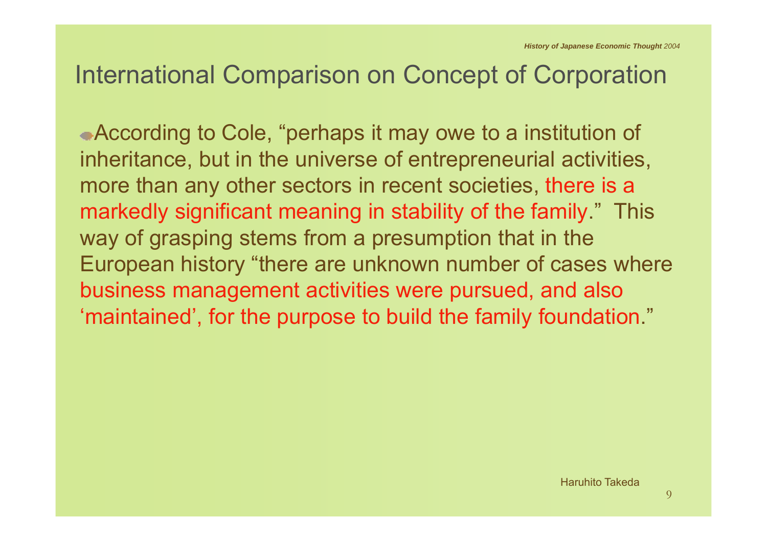#### International Comparison on Concept of Corporation

According to Cole, "perhaps it may owe to a institution of inheritance, but in the universe of entrepreneurial activities, more than any other sectors in recent societies, there is a markedly significant meaning in stability of the family." This way of grasping stems from a presumption that in the European history "there are unknown number of cases where business management activities were pursued, and also 'maintained', for the purpose to build the family foundation."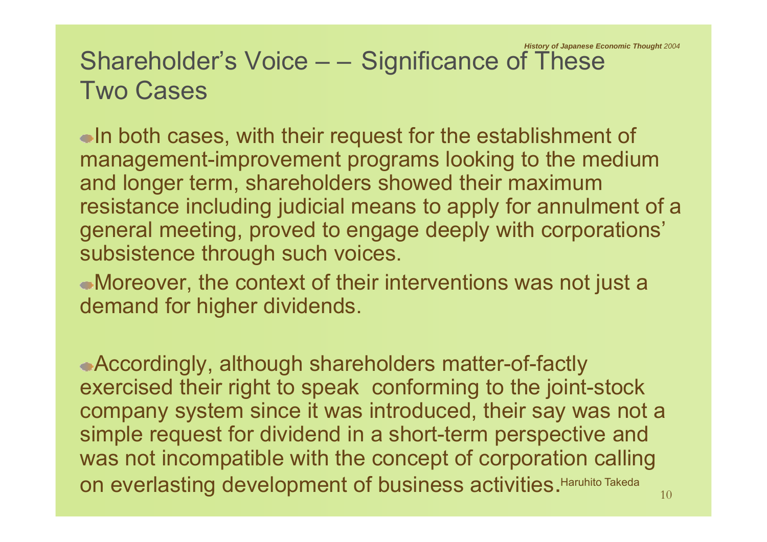#### Shareholder's Voice – – Significance of These Two Cases*History of Japanese Economic Thought 2004*

In both cases, with their request for the establishment of management-improvement programs looking to the medium and longer term, shareholders showed their maximum resistance including judicial means to apply for annulment of a general meeting, proved to engage deeply with corporations' subsistence through such voices.

Moreover, the context of their interventions was not just a demand for higher dividends.

Accordingly, although shareholders matter-of-factly exercised their right to speak conforming to the joint-stock company system since it was introduced, their say was not a simple request for dividend in a short-term perspective and was not incompatible with the concept of corporation calling on everlasting development of business activities. Haruhito Takeda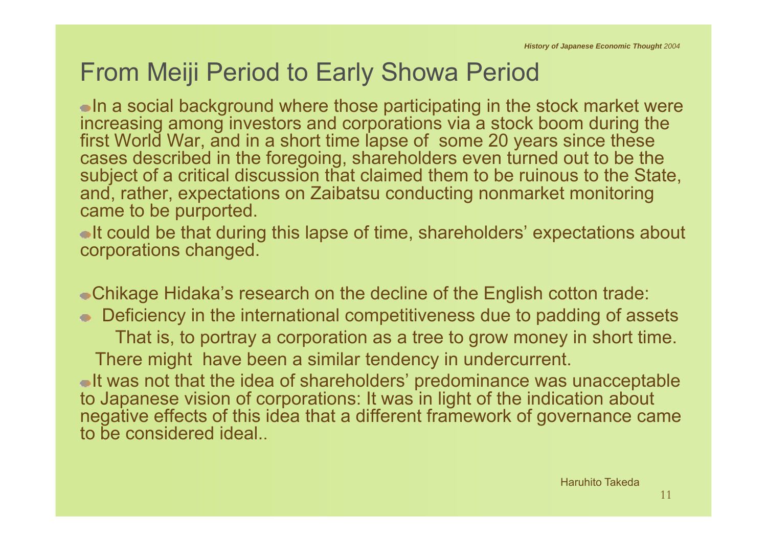## From Meiji Period to Early Showa Period

 $\bullet$  In a social background where those participating in the stock market were increasing among investors and corporations via a stock boom during the first World War, and in a short time lapse of some 20 years since these cases described in the foregoing, shareholders even turned out to be the subject of a critical discussion that claimed them to be ruinous to the State, and, rather, expectations on Zaibatsu conducting nonmarket monitoring came to be purported.

It could be that during this lapse of time, shareholders' expectations about corporations changed.

Chikage Hidaka's research on the decline of the English cotton trade: ● Deficiency in the international competitiveness due to padding of assets That is, to portray a corporation as a tree to grow money in short time. There might have been a similar tendency in undercurrent. It was not that the idea of shareholders' predominance was unacceptable to Japanese vision of corporations: It was in light of the indication about negative effects of this idea that a different framework of governance came to be considered ideal..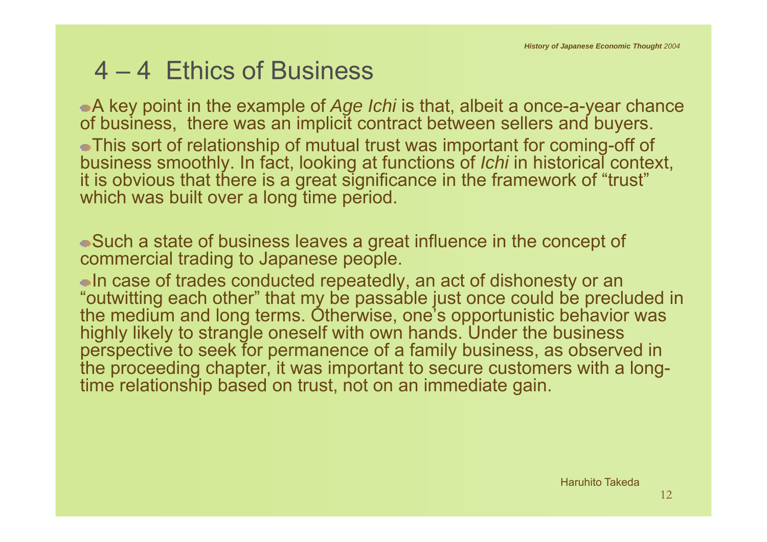#### 4 – 4 Ethics of Business

A key point in the example of *Age Ichi* is that, albeit a once-a-year chance of business, there was an implicit contract between sellers and buyers. This sort of relationship of mutual trust was important for coming-off of business smoothly. In fact, looking at functions of *Ichi* in historical context, it is obvious that there is a great significance in the framework of "trust" which was built over a long time period.

Such a state of business leaves a great influence in the concept of commercial trading to Japanese people.

In case of trades conducted repeatedly, an act of dishonesty or an "outwitting each other" that my be passable just once could be precluded in the medium and long terms. Otherwise, one's opportunistic behavior was highly likely to strangle oneself with own hands. Under the business perspective to seek for permanence of a family business, as observed in the proceeding chapter, it was important to secure customers with a longtime relationship based on trust, not on an immediate gain.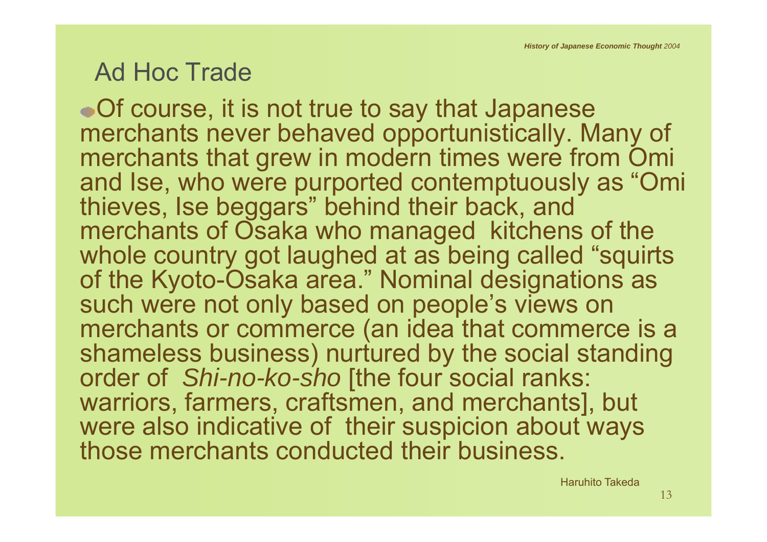#### Ad Hoc Trade

Of course, it is not true to say that Japanese merchants never behaved opportunistically. Many of merchants that grew in modern times were from Omi and Ise, who were purported contemptuously as "Omi thieves, Ise beggars" behind their back, and merchants of Osaka who managed kitchens of the whole country got laughed at as being called "squirts" of the Kyoto-Osaka area." Nominal designations as such were not only based on people's views on merchants or commerce (an idea that commerce is a shameless business) nurtured by the social standing order of *Shi-no-ko-sho* [the four social ranks: warriors, farmers, craftsmen, and merchants], but were also indicative of their suspicion about ways those merchants conducted their business.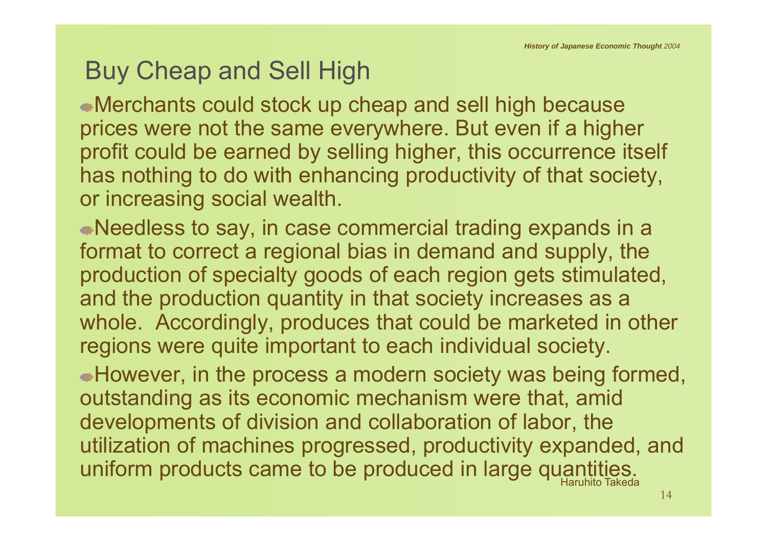# Buy Cheap and Sell High

Merchants could stock up cheap and sell high because prices were not the same everywhere. But even if a higher profit could be earned by selling higher, this occurrence itself has nothing to do with enhancing productivity of that society, or increasing social wealth.

Needless to say, in case commercial trading expands in a format to correct a regional bias in demand and supply, the production of specialty goods of each region gets stimulated, and the production quantity in that society increases as a whole. Accordingly, produces that could be marketed in other regions were quite important to each individual society.

However, in the process a modern society was being formed, outstanding as its economic mechanism were that, amid developments of division and collaboration of labor, the utilization of machines progressed, productivity expanded, and uniform products came to be produced in large quantities.<br>Haruhito Takeda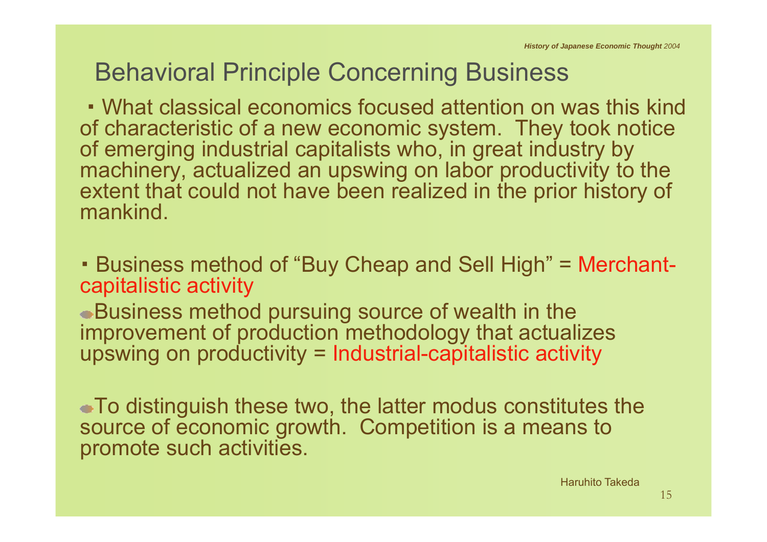## Behavioral Principle Concerning Business

・What classical economics focused attention on was this kind of characteristic of a new economic system. They took notice of emerging industrial capitalists who, in great industry by machinery, actualized an upswing on labor productivity to the extent that could not have been realized in the prior history of mankind.

・ Business method of "Buy Cheap and Sell High" = Merchantcapitalistic activity

Business method pursuing source of wealth in the improvement of production methodology that actualizes upswing on productivity = Industrial-capitalistic activity

To distinguish these two, the latter modus constitutes the source of economic growth. Competition is a means to promote such activities.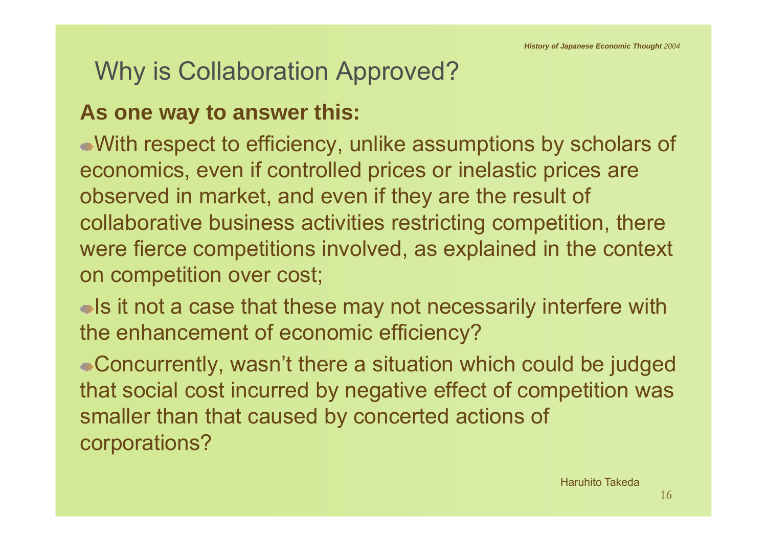## Why is Collaboration Approved?

#### **As one way to answer this:**

With respect to efficiency, unlike assumptions by scholars of economics, even if controlled prices or inelastic prices are observed in market, and even if they are the result of collaborative business activities restricting competition, there were fierce competitions involved, as explained in the context on competition over cost;

**Is it not a case that these may not necessarily interfere with** the enhancement of economic efficiency?

Concurrently, wasn't there a situation which could be judged that social cost incurred by negative effect of competition was smaller than that caused by concerted actions of corporations?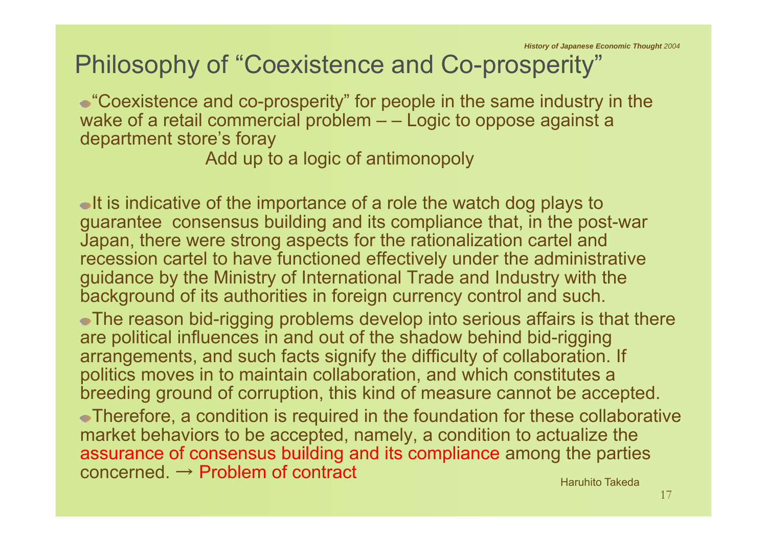#### Philosophy of "Coexistence and Co-prosperity"

"Coexistence and co-prosperity" for people in the same industry in the wake of a retail commercial problem  $-$  – Logic to oppose against a department store's foray

Add up to a logic of antimonopoly

 $\bullet$ It is indicative of the importance of a role the watch dog plays to guarantee consensus building and its compliance that, in the post-war Japan, there were strong aspects for the rationalization cartel and recession cartel to have functioned effectively under the administrative guidance by the Ministry of International Trade and Industry with the background of its authorities in foreign currency control and such.

The reason bid-rigging problems develop into serious affairs is that there are political influences in and out of the shadow behind bid-rigging arrangements, and such facts signify the difficulty of collaboration. If politics moves in to maintain collaboration, and which constitutes a breeding ground of corruption, this kind of measure cannot be accepted.

Therefore, a condition is required in the foundation for these collaborative market behaviors to be accepted, namely, a condition to actualize the assurance of consensus building and its compliance among the parties concerned. → Problem of contract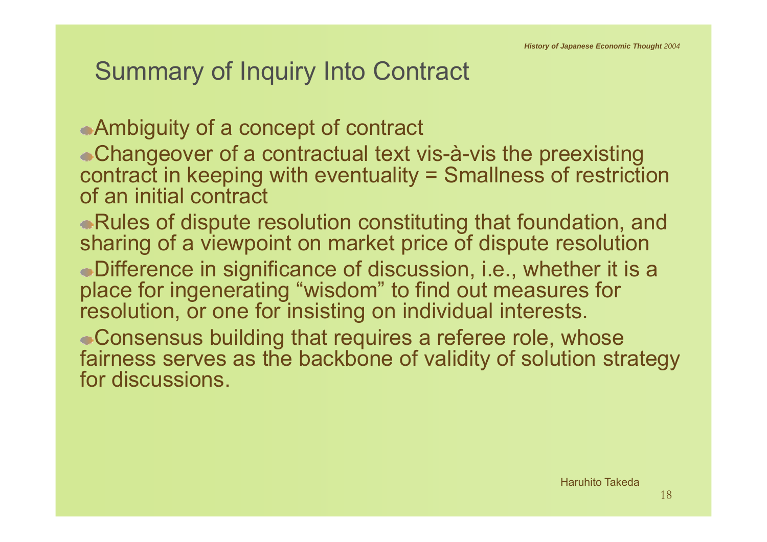## Summary of Inquiry Into Contract

Ambiguity of a concept of contract

- Changeover of a contractual text vis-à-vis the preexisting contract in keeping with eventuality = Smallness of restriction of an initial contract
- Rules of dispute resolution constituting that foundation, and sharing of a viewpoint on market price of dispute resolution
- Difference in significance of discussion, i.e., whether it is a place for ingenerating "wisdom" to find out measures for resolution, or one for insisting on individual interests.
- Consensus building that requires a referee role, whose fairness serves as the backbone of validity of solution strategy for discussions.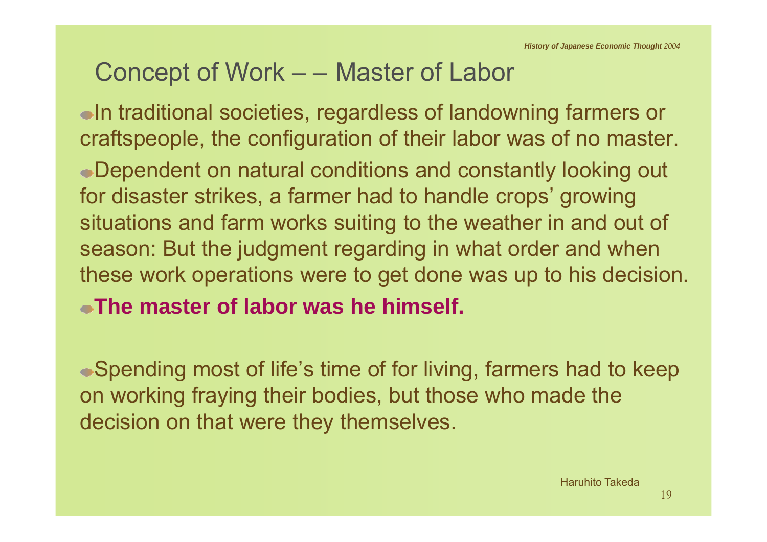#### Concept of Work – – Master of Labor

In traditional societies, regardless of landowning farmers or craftspeople, the configuration of their labor was of no master. Dependent on natural conditions and constantly looking out for disaster strikes, a farmer had to handle crops' growing situations and farm works suiting to the weather in and out of season: But the judgment regarding in what order and when these work operations were to get done was up to his decision. **The master of labor was he himself.**

Spending most of life's time of for living, farmers had to keep on working fraying their bodies, but those who made the decision on that were they themselves.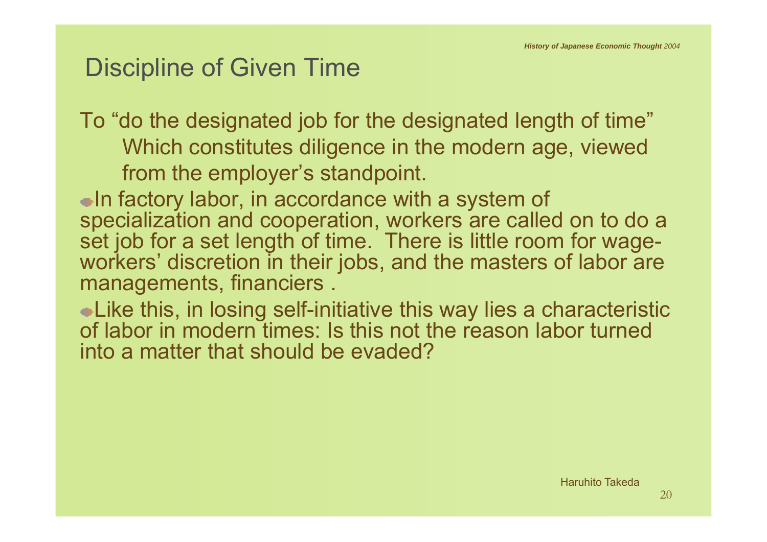## Discipline of Given Time

To "do the designated job for the designated length of time" Which constitutes diligence in the modern age, viewed from the employer's standpoint.

In factory labor, in accordance with a system of specialization and cooperation, workers are called on to do a set job for a set length of time. There is little room for wageworkers' discretion in their jobs, and the masters of labor are managements, financiers .

Like this, in losing self-initiative this way lies a characteristic of labor in modern times: Is this not the reason labor turned into a matter that should be evaded?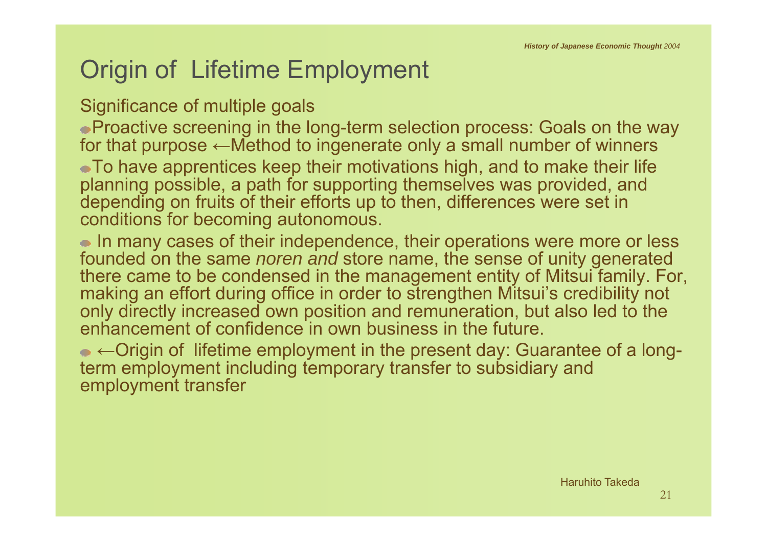# Origin of Lifetime Employment

#### Significance of multiple goals

Proactive screening in the long-term selection process: Goals on the way for that purpose ←Method to ingenerate only a small number of winners To have apprentices keep their motivations high, and to make their life planning possible, a path for supporting themselves was provided, and depending on fruits of their efforts up to then, differences were set in conditions for becoming autonomous.

• In many cases of their independence, their operations were more or less founded on the same *noren and* store name, the sense of unity generated there came to be condensed in the management entity of Mitsui family. For, making an effort during office in order to strengthen Mitsui's credibility not only directly increased own position and remuneration, but also led to the enhancement of confidence in own business in the future.

←Origin of lifetime employment in the present day: Guarantee of a longterm employment including temporary transfer to subsidiary and employment transfer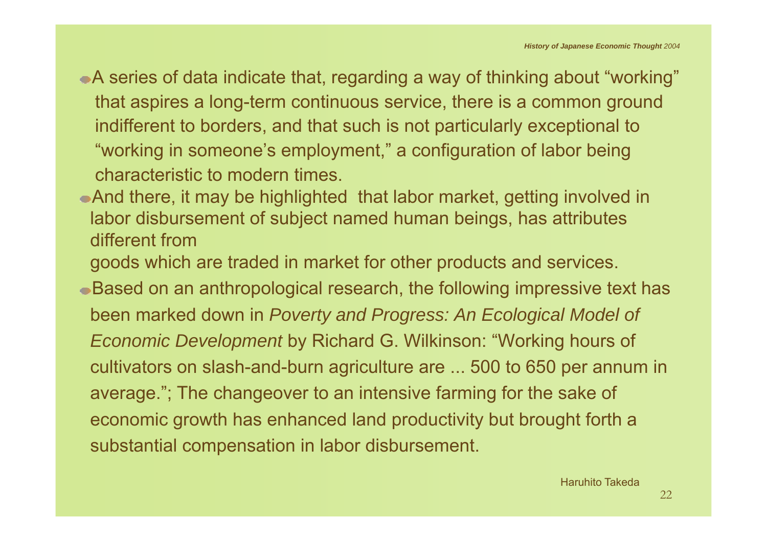- A series of data indicate that, regarding a way of thinking about "working" that aspires a long-term continuous service, there is a common ground indifferent to borders, and that such is not particularly exceptional to "working in someone's employment," a configuration of labor being characteristic to modern times.
- And there, it may be highlighted that labor market, getting involved in labor disbursement of subject named human beings, has attributes different from
- goods which are traded in market for other products and services.
- Based on an anthropological research, the following impressive text has been marked down in *Poverty and Progress: An Ecological Model of Economic Development* by Richard G. Wilkinson: "Working hours of cultivators on slash-and-burn agriculture are ... 500 to 650 per annum in average."; The changeover to an intensive farming for the sake of economic growth has enhanced land productivity but brought forth a substantial compensation in labor disbursement.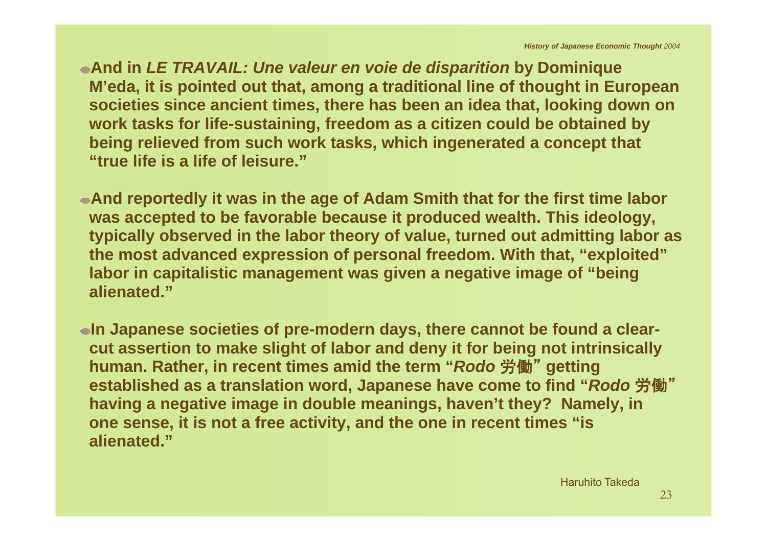**And in** *LE TRAVAIL: Une valeur en voie de disparition* **by Dominique M'eda, it is pointed out that, among a traditional line of thought in European societies since ancient times, there has been an idea that, looking down on work tasks for life-sustaining, freedom as a citizen could be obtained by being relieved from such work tasks, which ingenerated a concept that "true life is a life of leisure."**

**And reportedly it was in the age of Adam Smith that for the first time labor was accepted to be favorable because it produced wealth. This ideology, typically observed in the labor theory of value, turned out admitting labor as the most advanced expression of personal freedom. With that, "exploited" labor in capitalistic management was given a negative image of "being alienated."**

**In Japanese societies of pre-modern days, there cannot be found a clearcut assertion to make slight of labor and deny it for being not intrinsically human. Rather, in recent times amid the term "***Rodo* 労働" **getting established as a translation word, Japanese have come to find "***Rodo* 労働" **having a negative image in double meanings, haven't they? Namely, in one sense, it is not a free activity, and the one in recent times "is alienated."**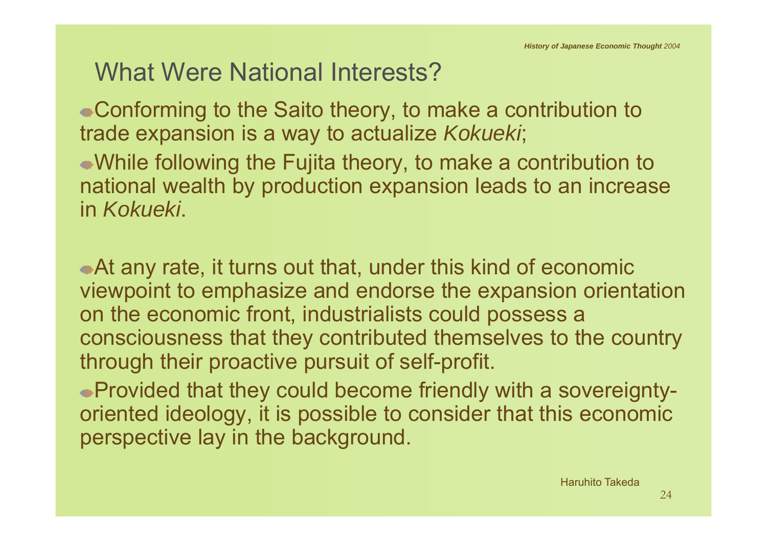#### What Were National Interests?

Conforming to the Saito theory, to make a contribution to trade expansion is a way to actualize *Kokueki*;

While following the Fujita theory, to make a contribution to national wealth by production expansion leads to an increase in *Kokueki*.

At any rate, it turns out that, under this kind of economic viewpoint to emphasize and endorse the expansion orientation on the economic front, industrialists could possess a consciousness that they contributed themselves to the country through their proactive pursuit of self-profit.

Provided that they could become friendly with a sovereigntyoriented ideology, it is possible to consider that this economic perspective lay in the background.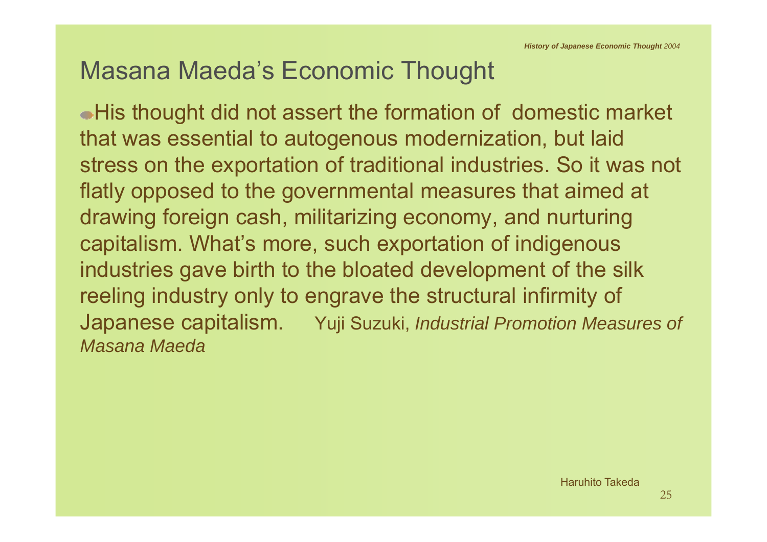#### Masana Maeda's Economic Thought

His thought did not assert the formation of domestic market that was essential to autogenous modernization, but laid stress on the exportation of traditional industries. So it was not flatly opposed to the governmental measures that aimed at drawing foreign cash, militarizing economy, and nurturing capitalism. What's more, such exportation of indigenous industries gave birth to the bloated development of the silk reeling industry only to engrave the structural infirmity of Japanese capitalism. Yuji Suzuki, *Industrial Promotion Measures of Masana Maeda*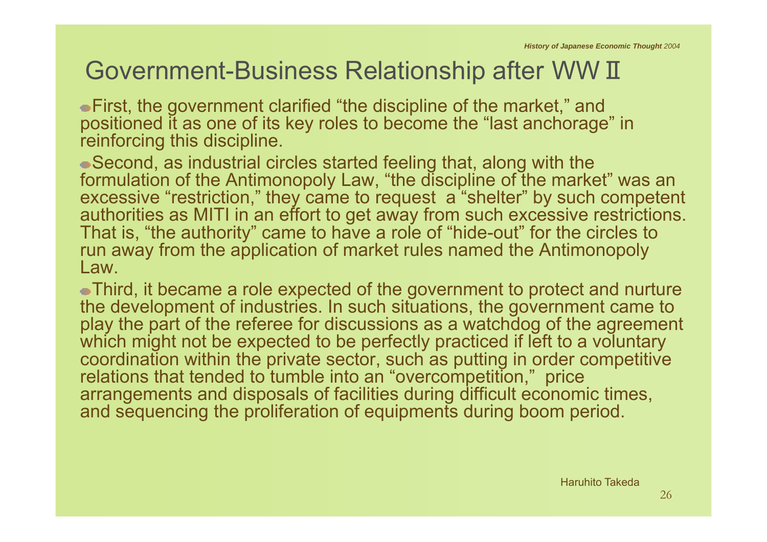#### Government-Business Relationship after WW Ⅱ

First, the government clarified "the discipline of the market," and positioned it as one of its key roles to become the "last anchorage" in reinforcing this discipline.

Second, as industrial circles started feeling that, along with the formulation of the Antimonopoly Law, "the discipline of the market" was an excessive "restriction," they came to request a "shelter" by such competent authorities as MITI in an effort to get away from such excessive restrictions. That is, "the authority" came to have a role of "hide-out" for the circles to run away from the application of market rules named the Antimonopoly Law.

Third, it became a role expected of the government to protect and nurture the development of industries. In such situations, the government came to play the part of the referee for discussions as a watchdog of the agreement which might not be expected to be perfectly practiced if left to a voluntary coordination within the private sector, such as putting in order competitive relations that tended to tumble into an "overcompetition," price arrangements and disposals of facilities during difficult economic times, and sequencing the proliferation of equipments during boom period.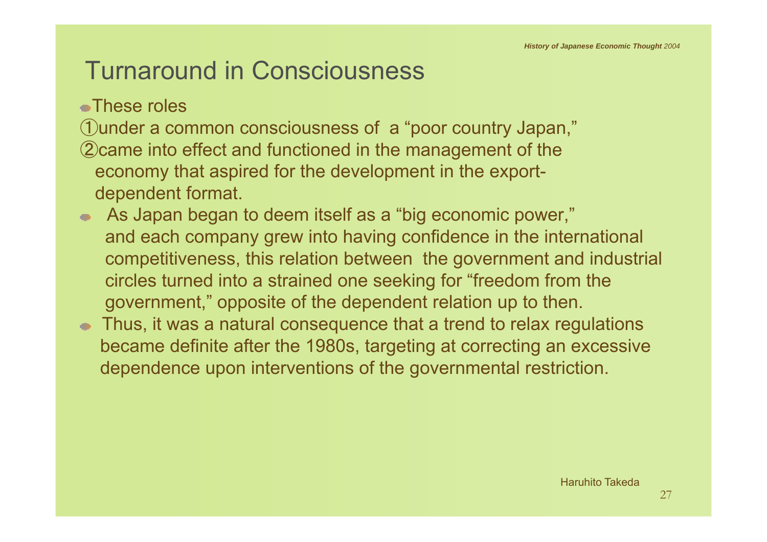# Turnaround in Consciousness

These roles

①under a common consciousness of a "poor country Japan," ②came into effect and functioned in the management of the economy that aspired for the development in the exportdependent format.

- As Japan began to deem itself as a "big economic power," and each company grew into having confidence in the international competitiveness, this relation between the government and industrial circles turned into a strained one seeking for "freedom from the government," opposite of the dependent relation up to then.
- Thus, it was a natural consequence that a trend to relax regulations became definite after the 1980s, targeting at correcting an excessive dependence upon interventions of the governmental restriction.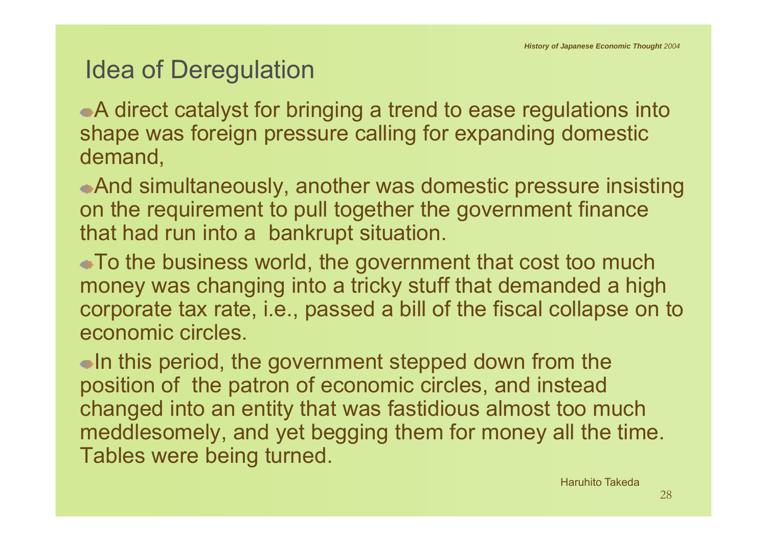## Idea of Deregulation

A direct catalyst for bringing a trend to ease regulations into shape was foreign pressure calling for expanding domestic demand,

And simultaneously, another was domestic pressure insisting on the requirement to pull together the government finance that had run into a bankrupt situation.

To the business world, the government that cost too much money was changing into a tricky stuff that demanded a high corporate tax rate, i.e., passed a bill of the fiscal collapse on to economic circles.

 $\bullet$ In this period, the government stepped down from the position of the patron of economic circles, and instead changed into an entity that was fastidious almost too much meddlesomely, and yet begging them for money all the time. Tables were being turned.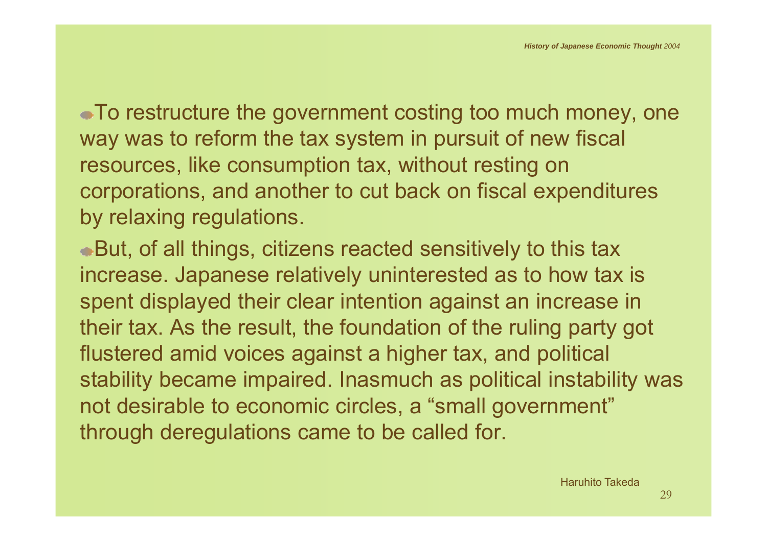To restructure the government costing too much money, one way was to reform the tax system in pursuit of new fiscal resources, like consumption tax, without resting on corporations, and another to cut back on fiscal expenditures by relaxing regulations.

But, of all things, citizens reacted sensitively to this tax increase. Japanese relatively uninterested as to how tax is spent displayed their clear intention against an increase in their tax. As the result, the foundation of the ruling party got flustered amid voices against a higher tax, and political stability became impaired. Inasmuch as political instability was not desirable to economic circles, a "small government" through deregulations came to be called for.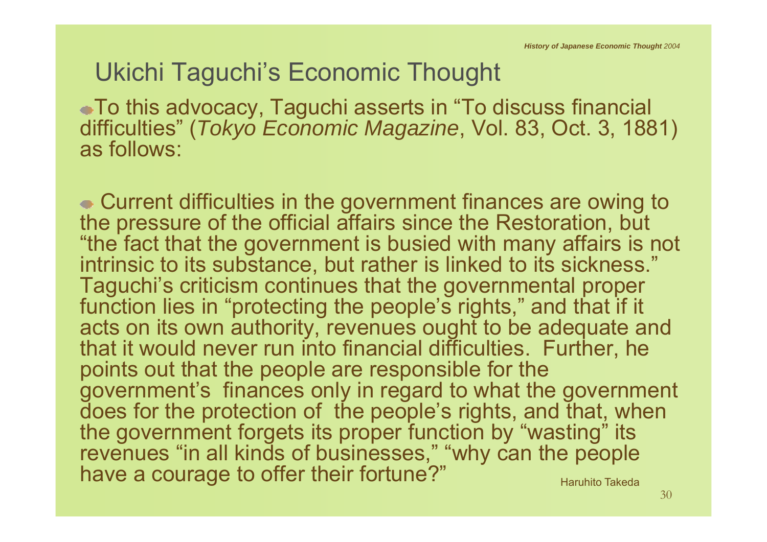# Ukichi Taguchi's Economic Thought

To this advocacy, Taguchi asserts in "To discuss financial difficulties" (*Tokyo Economic Magazine*, Vol. 83, Oct. 3, 1881) as follows:

Current difficulties in the government finances are owing to the pressure of the official affairs since the Restoration, but "the fact that the government is busied with many affairs is not intrinsic to its substance, but rather is linked to its sickness." Taguchi's criticism continues that the governmental proper function lies in "protecting the people's rights," and that if it acts on its own authority, revenues ought to be adequate and that it would never run into financial difficulties. Further, he points out that the people are responsible for the government's finances only in regard to what the government does for the protection of the people's rights, and that, when the government forgets its proper function by "wasting" its revenues "in all kinds of businesses," "why can the people have a courage to offer their fortune?" Haruhito Takeda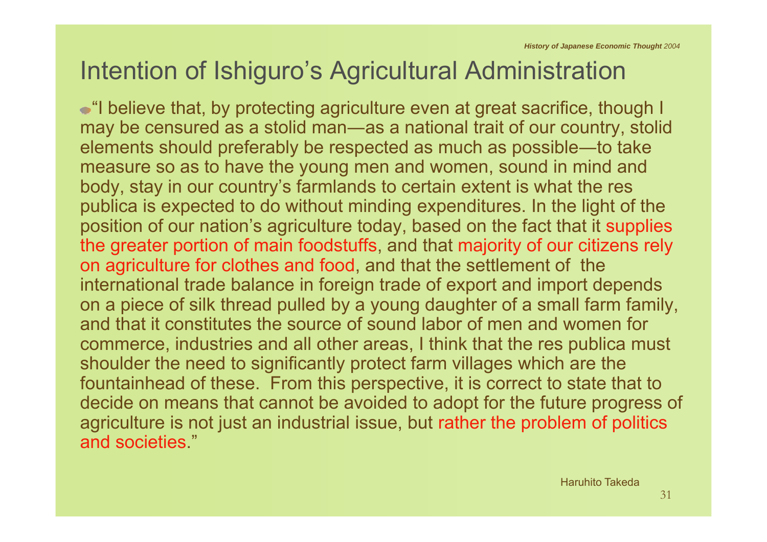# Intention of Ishiguro's Agricultural Administration

"I believe that, by protecting agriculture even at great sacrifice, though I may be censured as a stolid man ―as a national trait of our country, stolid elements should preferably be respected as much as possible—to take measure so as to have the young men and women, sound in mind and body, stay in our country's farmlands to certain extent is what the res publica is expected to do without minding expenditures. In the light of the position of our nation's agriculture today, based on the fact that it supplies the greater portion of main foodstuffs, and that majority of our citizens rely on agriculture for clothes and food, and that the settlement of the international trade balance in foreign trade of export and import depends on a piece of silk thread pulled by a young daughter of a small farm family, and that it constitutes the source of sound labor of men and women for commerce, industries and all other areas, I think that the res publica must shoulder the need to significantly protect farm villages which are the fountainhead of these. From this perspective, it is correct to state that to decide on means that cannot be avoided to adopt for the future progress of agriculture is not just an industrial issue, but rather the problem of politics and societies."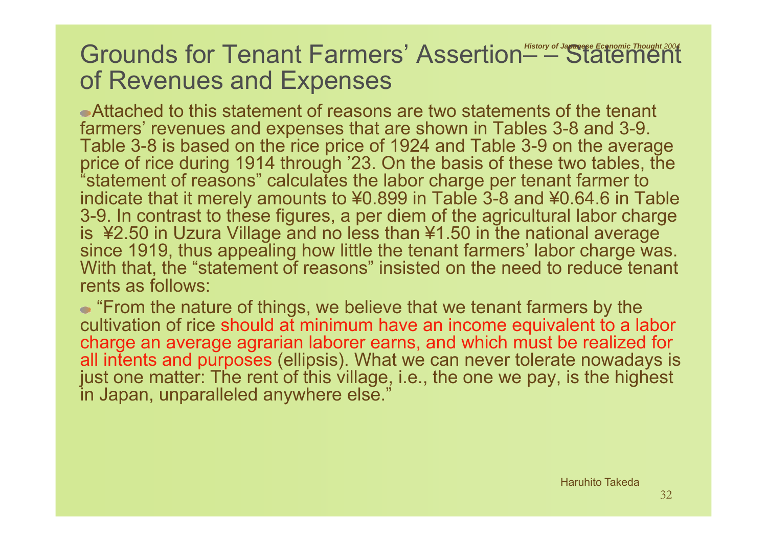#### Grounds for Tenant Farmers' Assertion––Statement *Thought 2004* of Revenues and Expenses

Attached to this statement of reasons are two statements of the tenant farmers' revenues and expenses that are shown in Tables 3-8 and 3-9. Table 3-8 is based on the rice price of 1924 and Table 3-9 on the average price of rice during 1914 through '23. On the basis of these two tables, the "statement of reasons" calculates the labor charge per tenant farmer to indicate that it merely amounts to ¥0.899 in Table 3-8 and ¥0.64.6 in Table 3-9. In contrast to these figures, a per diem of the agricultural labor charge is ¥2.50 in Uzura Village and no less than ¥1.50 in the national average since 1919, thus appealing how little the tenant farmers' labor charge was. With that, the "statement of reasons" insisted on the need to reduce tenant rents as follows:

"From the nature of things, we believe that we tenant farmers by the cultivation of rice should at minimum have an income equivalent to a labor charge an average agrarian laborer earns, and which must be realized for all intents and purposes (ellipsis). What we can never tolerate nowadays is just one matter: The rent of this village, i.e., the one we pay, is the highest in Japan, unparalleled anywhere else."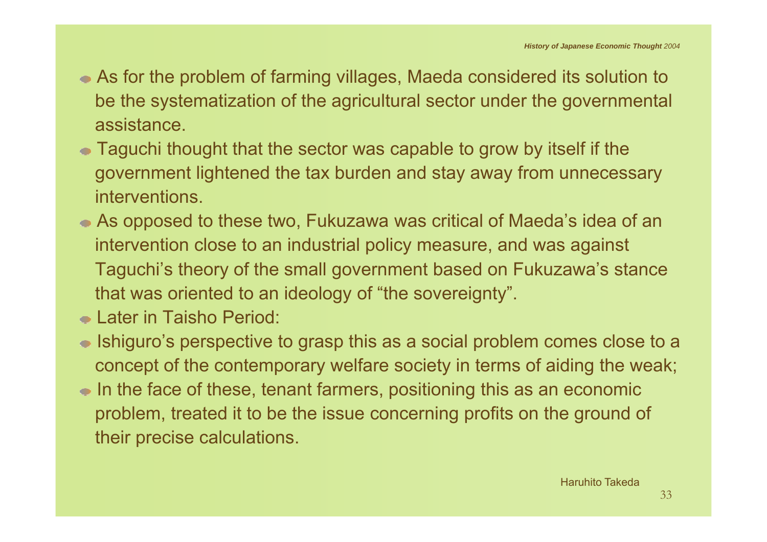- As for the problem of farming villages, Maeda considered its solution to be the systematization of the agricultural sector under the governmental assistance.
- Taguchi thought that the sector was capable to grow by itself if the government lightened the tax burden and stay away from unnecessary interventions.
- As opposed to these two, Fukuzawa was critical of Maeda's idea of an intervention close to an industrial policy measure, and was against Taguchi's theory of the small government based on Fukuzawa's stance that was oriented to an ideology of "the sovereignty".
- Later in Taisho Period:
- Ishiguro's perspective to grasp this as a social problem comes close to a concept of the contemporary welfare society in terms of aiding the weak;
- In the face of these, tenant farmers, positioning this as an economic problem, treated it to be the issue concerning profits on the ground of their precise calculations.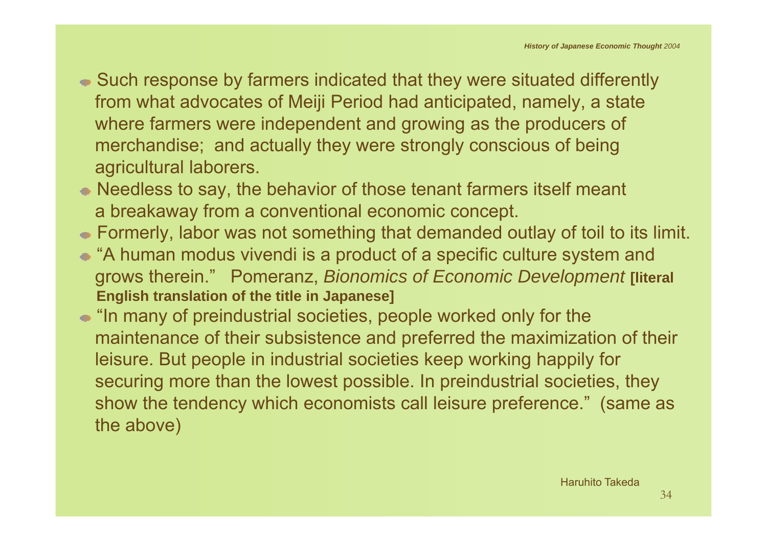- Such response by farmers indicated that they were situated differently from what advocates of Meiji Period had anticipated, namely, a state where farmers were independent and growing as the producers of merchandise; and actually they were strongly conscious of being agricultural laborers.
- Needless to say, the behavior of those tenant farmers itself meant a breakaway from a conventional economic concept.
- Formerly, labor was not something that demanded outlay of toil to its limit.
- "A human modus vivendi is a product of a specific culture system and grows therein." Pomeranz, *Bionomics of Economic Development* **[literal English translation of the title in Japanese]**
- "In many of preindustrial societies, people worked only for the maintenance of their subsistence and preferred the maximization of their leisure. But people in industrial societies keep working happily for securing more than the lowest possible. In preindustrial societies, they show the tendency which economists call leisure preference." (same as the above)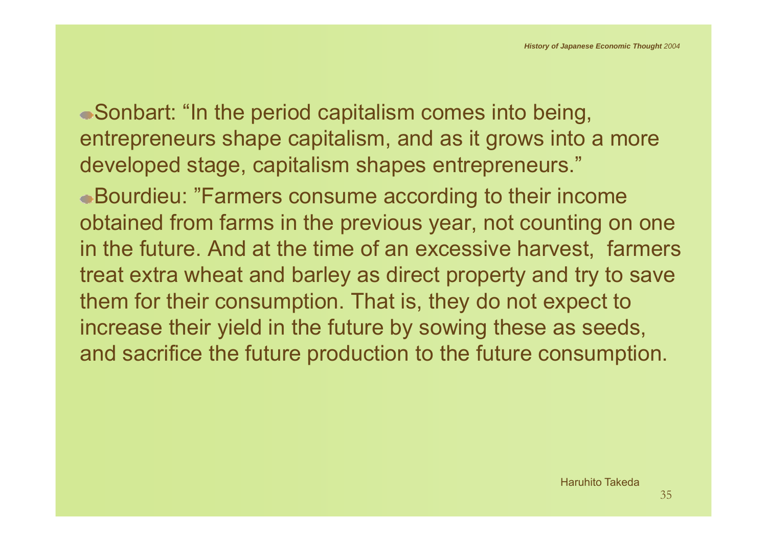Sonbart: "In the period capitalism comes into being, entrepreneurs shape capitalism, and as it grows into a more developed stage, capitalism shapes entrepreneurs."

Bourdieu: "Farmers consume according to their income obtained from farms in the previous year, not counting on one in the future. And at the time of an excessive harvest, farmers treat extra wheat and barley as direct property and try to save them for their consumption. That is, they do not expect to increase their yield in the future by sowing these as seeds, and sacrifice the future production to the future consumption.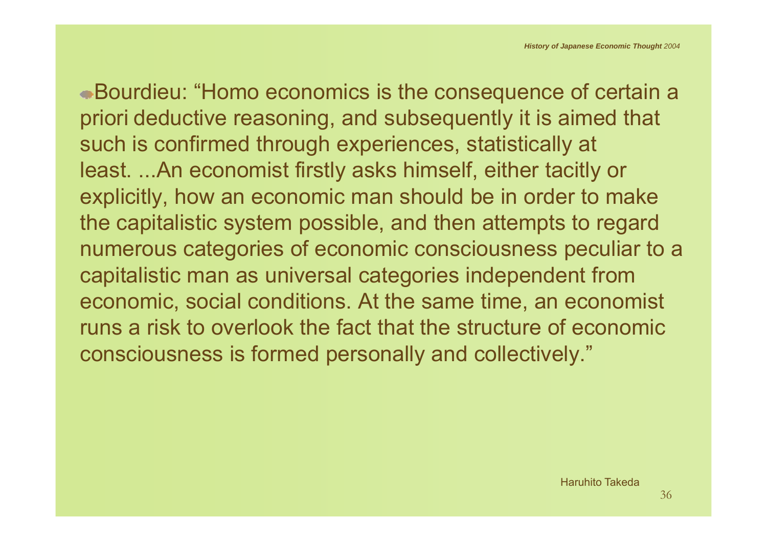Bourdieu: "Homo economics is the consequence of certain a priori deductive reasoning, and subsequently it is aimed that such is confirmed through experiences, statistically at least. ...An economist firstly asks himself, either tacitly or explicitly, how an economic man should be in order to make the capitalistic system possible, and then attempts to regard numerous categories of economic consciousness peculiar to a capitalistic man as universal categories independent from economic, social conditions. At the same time, an economist runs a risk to overlook the fact that the structure of economic consciousness is formed personally and collectively."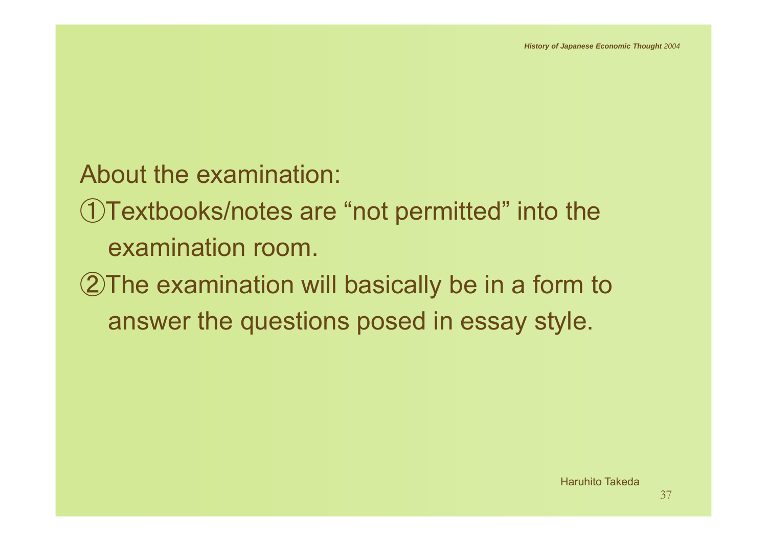About the examination:

①Textbooks/notes are "not permitted" into the examination room.

②The examination will basically be in a form to answer the questions posed in essay style.